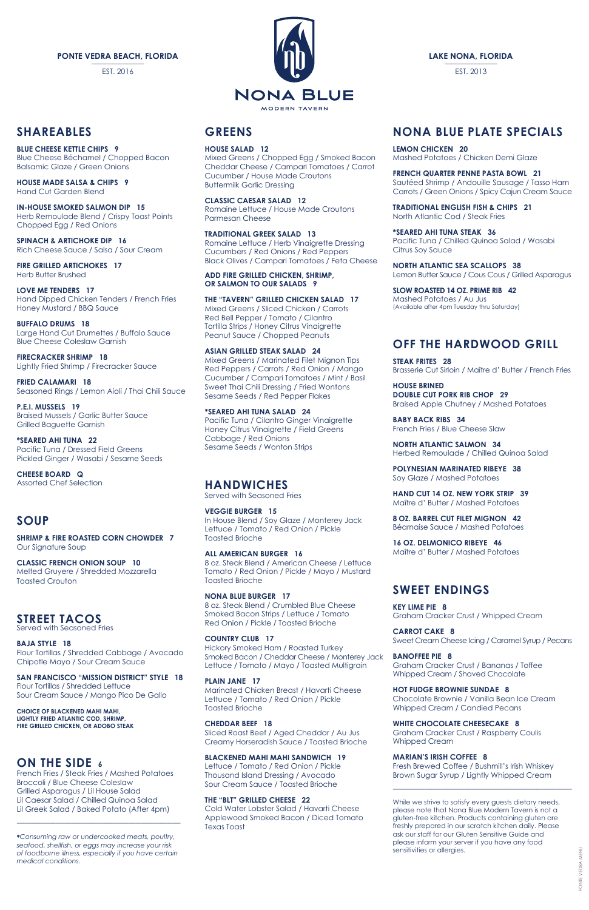### **SHAREABLES**

**BLUE CHEESE KETTLE CHIPS 9** Blue Cheese Béchamel / Chopped Bacon Balsamic Glaze / Green Onions

**HOUSE MADE SALSA & CHIPS 9** Hand Cut Garden Blend

**IN-HOUSE SMOKED SALMON DIP 15** Herb Remoulade Blend / Crispy Toast Points Chopped Egg / Red Onions

**SPINACH & ARTICHOKE DIP 16** Rich Cheese Sauce / Salsa / Sour Cream

**FIRE GRILLED ARTICHOKES 17** Herb Butter Brushed

**LOVE ME TENDERS 17** Hand Dipped Chicken Tenders / French Fries Honey Mustard / BBQ Sauce

**BUFFALO DRUMS 18** Large Hand Cut Drumettes / Buffalo Sauce Blue Cheese Coleslaw Garnish

**FIRECRACKER SHRIMP 18**  Lightly Fried Shrimp / Firecracker Sauce

**FRIED CALAMARI 18** Seasoned Rings / Lemon Aioli / Thai Chili Sauce

**P.E.I. MUSSELS 19** Braised Mussels / Garlic Butter Sauce Grilled Baguette Garnish

**\*SEARED AHI TUNA 22** Pacific Tuna / Dressed Field Greens Pickled Ginger / Wasabi / Sesame Seeds

**CHEESE BOARD Q** Assorted Chef Selection

# **SOUP**

**SHRIMP & FIRE ROASTED CORN CHOWDER 7** Our Signature Soup

**CLASSIC FRENCH ONION SOUP 10** Melted Gruyere / Shredded Mozzarella Toasted Crouton

# **STREET TACOS**

Served with Seasoned Fries

**BAJA STYLE 18** Flour Tortillas / Shredded Cabbage / Avocado Chipotle Mayo / Sour Cream Sauce



#### **SAN FRANCISCO "MISSION DISTRICT" STYLE 18**

Flour Tortillas / Shredded Lettuce Sour Cream Sauce / Mango Pico De Gallo

#### **CHOICE OF BLACKENED MAHI MAHI, LIGHTLY FRIED ATLANTIC COD, SHRIMP, FIRE GRILLED CHICKEN, OR ADOBO STEAK**

### **ON THE SIDE 6**

French Fries / Steak Fries / Mashed Potatoes Broccoli / Blue Cheese Coleslaw Grilled Asparagus / Lil House Salad Lil Caesar Salad / Chilled Quinoa Salad Lil Greek Salad / Baked Potato (After 4pm)

-------------------------------------------------------------------------------------------------

**\****Consuming raw or undercooked meats, poultry, seafood, shellfish, or eggs may increase your risk of foodborne illness, especially if you have certain medical conditions.*

# **GREENS**

**HOUSE SALAD 12**

Mixed Greens / Chopped Egg / Smoked Bacon Cheddar Cheese / Campari Tomatoes / Carrot Cucumber / House Made Croutons Buttermilk Garlic Dressing

**CLASSIC CAESAR SALAD 12** Romaine Lettuce / House Made Croutons Parmesan Cheese

**TRADITIONAL GREEK SALAD 13** Romaine Lettuce / Herb Vinaigrette Dressing Cucumbers / Red Onions / Red Peppers Black Olives / Campari Tomatoes / Feta Cheese

**ADD FIRE GRILLED CHICKEN, SHRIMP, OR SALMON TO OUR SALADS 9**

**THE "TAVERN" GRILLED CHICKEN SALAD 17** Mixed Greens / Sliced Chicken / Carrots Red Bell Pepper / Tomato / Cilantro Tortilla Strips / Honey Citrus Vinaigrette Peanut Sauce / Chopped Peanuts

**ASIAN GRILLED STEAK SALAD 24** Mixed Greens / Marinated Filet Mignon Tips Red Peppers / Carrots / Red Onion / Mango Cucumber / Campari Tomatoes / Mint / Basil Sweet Thai Chili Dressing / Fried Wontons Sesame Seeds / Red Pepper Flakes

**\*SEARED AHI TUNA SALAD 24** Pacific Tuna / Cilantro Ginger Vinaigrette Honey Citrus Vinaigrette / Field Greens Cabbage / Red Onions Sesame Seeds / Wonton Strips

### **HANDWICHES**

Served with Seasoned Fries

**VEGGIE BURGER 15** In House Blend / Soy Glaze / Monterey Jack Lettuce / Tomato / Red Onion / Pickle Toasted Brioche

**ALL AMERICAN BURGER 16** 8 oz. Steak Blend / American Cheese / Lettuce Tomato / Red Onion / Pickle / Mayo / Mustard Toasted Brioche

**NONA BLUE BURGER 17** 8 oz. Steak Blend / Crumbled Blue Cheese Smoked Bacon Strips / Lettuce / Tomato Red Onion / Pickle / Toasted Brioche

**COUNTRY CLUB 17** Hickory Smoked Ham / Roasted Turkey Smoked Bacon / Cheddar Cheese / Monterey Jack **BANOFFEE PIE 8** Lettuce / Tomato / Mayo / Toasted Multigrain

#### **PLAIN JANE 17**

Marinated Chicken Breast / Havarti Cheese Lettuce / Tomato / Red Onion / Pickle Toasted Brioche

#### **CHEDDAR BEEF 18**

Sliced Roast Beef / Aged Cheddar / Au Jus Creamy Horseradish Sauce / Toasted Brioche

#### **BLACKENED MAHI MAHI SANDWICH 19**

Lettuce / Tomato / Red Onion / Pickle Thousand Island Dressing / Avocado Sour Cream Sauce / Toasted Brioche

#### **THE "BLT" GRILLED CHEESE 22**

Cold Water Lobster Salad / Havarti Cheese Applewood Smoked Bacon / Diced Tomato Texas Toast

# **NONA BLUE PLATE SPECIALS**

**LEMON CHICKEN 20** Mashed Potatoes / Chicken Demi Glaze

**FRENCH QUARTER PENNE PASTA BOWL 21** Sautéed Shrimp / Andouille Sausage / Tasso Ham Carrots / Green Onions / Spicy Cajun Cream Sauce

**TRADITIONAL ENGLISH FISH & CHIPS 21** North Atlantic Cod / Steak Fries

**\*SEARED AHI TUNA STEAK 36** Pacific Tuna / Chilled Quinoa Salad / Wasabi Citrus Soy Sauce

**NORTH ATLANTIC SEA SCALLOPS 38** Lemon Butter Sauce / Cous Cous / Grilled Asparagus

**SLOW ROASTED 14 OZ. PRIME RIB 42** Mashed Potatoes / Au Jus (Available after 4pm Tuesday thru Saturday)

# **OFF THE HARDWOOD GRILL**

**STEAK FRITES 28** Brasserie Cut Sirloin / Maître d' Butter / French Fries

**HOUSE BRINED DOUBLE CUT PORK RIB CHOP 29** Braised Apple Chutney / Mashed Potatoes

**BABY BACK RIBS 34** French Fries / Blue Cheese Slaw

**NORTH ATLANTIC SALMON 34** Herbed Remoulade / Chilled Quinoa Salad

**POLYNESIAN MARINATED RIBEYE 38** Soy Glaze / Mashed Potatoes

**HAND CUT 14 OZ. NEW YORK STRIP 39** Maître d' Butter / Mashed Potatoes

**8 OZ. BARREL CUT FILET MIGNON 42** Béarnaise Sauce / Mashed Potatoes

**16 OZ. DELMONICO RIBEYE 46** Maître d' Butter / Mashed Potatoes

# **SWEET ENDINGS**

**KEY LIME PIE 8** Graham Cracker Crust / Whipped Cream

**CARROT CAKE 8** Sweet Cream Cheese Icing / Caramel Syrup / Pecans

Graham Cracker Crust / Bananas / Toffee

Whipped Cream / Shaved Chocolate

#### **HOT FUDGE BROWNIE SUNDAE 8**

Chocolate Brownie / Vanilla Bean Ice Cream Whipped Cream / Candied Pecans

#### **WHITE CHOCOLATE CHEESECAKE 8**

Graham Cracker Crust / Raspberry Coulis Whipped Cream

#### **MARIAN'S IRISH COFFEE 8**

Fresh Brewed Coffee / Bushmill's Irish Whiskey Brown Sugar Syrup / Lightly Whipped Cream

----------------------------------------------------------------------------------------------------------

While we strive to satisfy every guests dietary needs, please note that Nona Blue Modern Tavern is not a gluten-free kitchen. Products containing gluten are freshly prepared in our scratch kitchen daily. Please ask our staff for our Gluten Sensitive Guide and please inform your server if you have any food sensitivities or allergies.

**LAKE NONA, FLORIDA \_\_\_\_\_\_\_\_\_\_\_\_\_\_\_** 

EST. 2013

#### **PONTE VEDRA BEACH, FLORIDA**

EST. 2016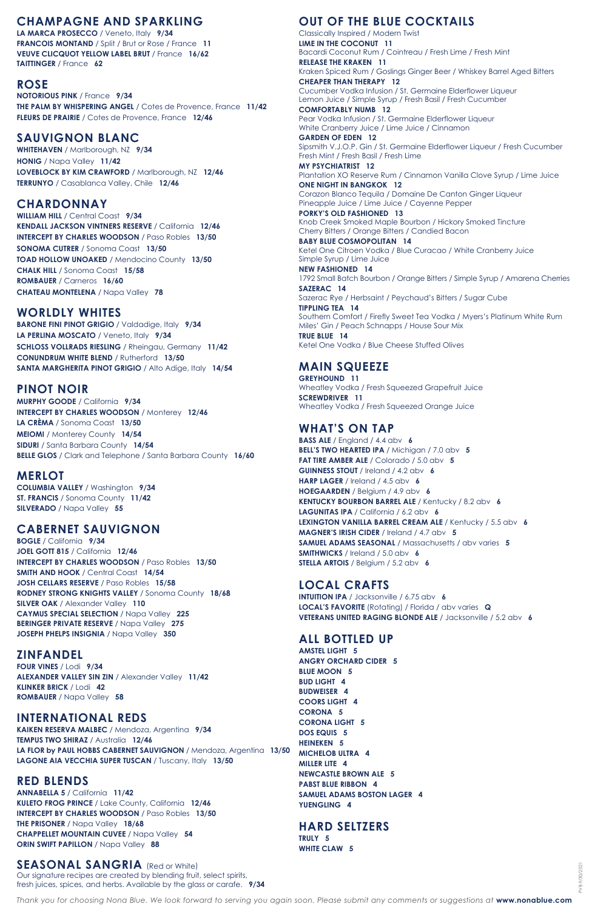# **CHAMPAGNE AND SPARKLING**

**LA MARCA PROSECCO** / Veneto, Italy **9/34 FRANCOIS MONTAND** / Split / Brut or Rose / France **11 VEUVE CLICQUOT YELLOW LABEL BRUT** / France **16/62 TAITTINGER** / France **62**

### **ROSE**

**NOTORIOUS PINK** / France **9/34 THE PALM BY WHISPERING ANGEL** / Cotes de Provence, France **11/42 FLEURS DE PRAIRIE** / Cotes de Provence, France **12/46**

### **SAUVIGNON BLANC**

**WHITEHAVEN** / Marlborough, NZ **9/34 HONIG** / Napa Valley **11/42 LOVEBLOCK BY KIM CRAWFORD** / Marlborough, NZ **12/46 TERRUNYO** / Casablanca Valley, Chile **12/46**

### **CHARDONNAY**

**WILLIAM HILL** / Central Coast **9/34 KENDALL JACKSON VINTNERS RESERVE** / California **12/46 INTERCEPT BY CHARLES WOODSON** / Paso Robles 13/50 **SONOMA CUTRER** / Sonoma Coast **13/50 TOAD HOLLOW UNOAKED** / Mendocino County **13/50 CHALK HILL** / Sonoma Coast **15/58 ROMBAUER** / Carneros **16/60 CHATEAU MONTELENA** / Napa Valley **78**

# **WORLDLY WHITES**

**BARONE FINI PINOT GRIGIO** / Valdadige, Italy **9/34 LA PERLINA MOSCATO** / Veneto, Italy **9/34 SCHLOSS VOLLRADS RIESLING** / Rheingau, Germany **11/42 CONUNDRUM WHITE BLEND** / Rutherford **13/50 SANTA MARGHERITA PINOT GRIGIO** / Alto Adige, Italy **14/54**

### **PINOT NOIR**

**MURPHY GOODE** / California **9/34 INTERCEPT BY CHARLES WOODSON** / Monterey **12/46 LA CRÈMA** / Sonoma Coast **13/50 MEIOMI** / Monterey County **14/54 SIDURI** / Santa Barbara County **14/54 BELLE GLOS** / Clark and Telephone / Santa Barbara County **16/60**

# **MERLOT**

**COLUMBIA VALLEY** / Washington **9/34 ST. FRANCIS** / Sonoma County **11/42 SILVERADO** / Napa Valley **55**

# **CABERNET SAUVIGNON**

**BOGLE** / California **9/34 JOEL GOTT 815** / California **12/46 INTERCEPT BY CHARLES WOODSON** / Paso Robles 13/50 **SMITH AND HOOK** / Central Coast **14/54 JOSH CELLARS RESERVE** / Paso Robles **15/58 RODNEY STRONG KNIGHTS VALLEY** / Sonoma County **18/68 SILVER OAK** / Alexander Valley **110 CAYMUS SPECIAL SELECTION** / Napa Valley **225 BERINGER PRIVATE RESERVE** / Napa Valley **275 JOSEPH PHELPS INSIGNIA** / Napa Valley **350**

# **ZINFANDEL**

**FOUR VINES** / Lodi **9/34**

**ALEXANDER VALLEY SIN ZIN** / Alexander Valley **11/42 KLINKER BRICK** / Lodi **42 ROMBAUER** / Napa Valley **58**

### **INTERNATIONAL REDS**

**KAIKEN RESERVA MALBEC** / Mendoza, Argentina **9/34 TEMPUS TWO SHIRAZ** / Australia **12/46 LA FLOR by PAUL HOBBS CABERNET SAUVIGNON** / Mendoza, Argentina **13/50 LAGONE AIA VECCHIA SUPER TUSCAN** / Tuscany, Italy **13/50**

### **RED BLENDS**

**ANNABELLA 5** / California **11/42 KULETO FROG PRINCE** / Lake County, California **12/46 INTERCEPT BY CHARLES WOODSON** / Paso Robles 13/50 **THE PRISONER** / Napa Valley **18/68 CHAPPELLET MOUNTAIN CUVEE** / Napa Valley **54 ORIN SWIFT PAPILLON** / Napa Valley **88**

### **SEASONAL SANGRIA** (Red or White)

Our signature recipes are created by blending fruit, select spirits, fresh juices, spices, and herbs. Available by the glass or carafe. **9/34**

# **OUT OF THE BLUE COCKTAILS**

Classically Inspired / Modern Twist **LIME IN THE COCONUT 11** Bacardi Coconut Rum / Cointreau / Fresh Lime / Fresh Mint **RELEASE THE KRAKEN 11** Kraken Spiced Rum / Goslings Ginger Beer / Whiskey Barrel Aged Bitters **CHEAPER THAN THERAPY 12** Cucumber Vodka Infusion / St. Germaine Elderflower Liqueur Lemon Juice / Simple Syrup / Fresh Basil / Fresh Cucumber

**COMFORTABLY NUMB 12** Pear Vodka Infusion / St. Germaine Elderflower Liqueur White Cranberry Juice / Lime Juice / Cinnamon

**GARDEN OF EDEN 12** Sipsmith V.J.O.P. Gin / St. Germaine Elderflower Liqueur / Fresh Cucumber Fresh Mint / Fresh Basil / Fresh Lime

**MY PSYCHIATRIST 12** Plantation XO Reserve Rum / Cinnamon Vanilla Clove Syrup / Lime Juice **ONE NIGHT IN BANGKOK 12**

Corazon Blanco Tequila / Domaine De Canton Ginger Liqueur Pineapple Juice / Lime Juice / Cayenne Pepper

**PORKY'S OLD FASHIONED 13** Knob Creek Smoked Maple Bourbon / Hickory Smoked Tincture Cherry Bitters / Orange Bitters / Candied Bacon

**BABY BLUE COSMOPOLITAN 14** Ketel One Citroen Vodka / Blue Curacao / White Cranberry Juice Simple Syrup / Lime Juice

**NEW FASHIONED 14** 1792 Small Batch Bourbon / Orange Bitters / Simple Syrup / Amarena Cherries

**SAZERAC 14** Sazerac Rye / Herbsaint / Peychaud's Bitters / Sugar Cube **TIPPLING TEA 14**

Southern Comfort / Firefly Sweet Tea Vodka / Myers's Platinum White Rum Miles' Gin / Peach Schnapps / House Sour Mix

**TRUE BLUE 14** Ketel One Vodka / Blue Cheese Stuffed Olives

# **MAIN SQUEEZE**

**GREYHOUND 11** Wheatley Vodka / Fresh Squeezed Grapefruit Juice **SCREWDRIVER 11** Wheatley Vodka / Fresh Squeezed Orange Juice

### **WHAT'S ON TAP**

**BASS ALE** / England / 4.4 abv **6 BELL'S TWO HEARTED IPA** / Michigan / 7.0 abv **5 FAT TIRE AMBER ALE** / Colorado / 5.0 abv **5 GUINNESS STOUT** / Ireland / 4.2 abv **6 HARP LAGER** / Ireland / 4.5 abv **6 HOEGAARDEN** / Belgium / 4.9 abv **6 KENTUCKY BOURBON BARREL ALE** / Kentucky / 8.2 abv **6 LAGUNITAS IPA** / California / 6.2 abv **6 LEXINGTON VANILLA BARREL CREAM ALE** / Kentucky / 5.5 abv **6 MAGNER'S IRISH CIDER** / Ireland / 4.7 abv **5 SAMUEL ADAMS SEASONAL** / Massachusetts / abv varies **5 SMITHWICKS** / Ireland / 5.0 abv **6 STELLA ARTOIS** / Belgium / 5.2 abv **6**

# **LOCAL CRAFTS**

**INTUITION IPA** / Jacksonville / 6.75 abv **6 LOCAL'S FAVORITE** (Rotating) / Florida / abv varies **Q VETERANS UNITED RAGING BLONDE ALE** / Jacksonville / 5.2 abv **6**

### **ALL BOTTLED UP**

**AMSTEL LIGHT 5 ANGRY ORCHARD CIDER 5**

**BLUE MOON 5 BUD LIGHT 4 BUDWEISER 4 COORS LIGHT 4 CORONA 5 CORONA LIGHT 5 DOS EQUIS 5 HEINEKEN 5 MICHELOB ULTRA 4 MILLER LITE 4 NEWCASTLE BROWN ALE 5 PABST BLUE RIBBON 4 SAMUEL ADAMS BOSTON LAGER 4 YUENGLING 4**

### **HARD SELTZERS TRULY 5 WHITE CLAW 5**

*Thank you for choosing Nona Blue. We look forward to serving you again soon. Please submit any comments or suggestions at* **www.nonablue.com**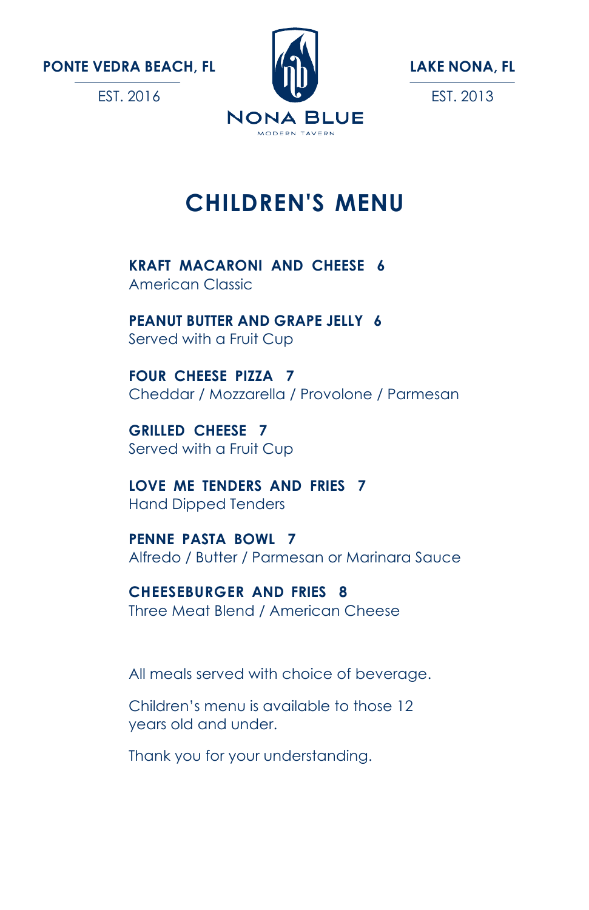EST. 2016





# **CHILDREN'S MENU**

**KRAFT MACARONI AND CHEESE 6** American Classic

**PEANUT BUTTER AND GRAPE JELLY 6** Served with a Fruit Cup

**FOUR CHEESE PIZZA 7** Cheddar / Mozzarella / Provolone / Parmesan

**GRILLED CHEESE 7** Served with a Fruit Cup

**LOVE ME TENDERS AND FRIES 7** Hand Dipped Tenders

**PENNE PASTA BOWL 7** Alfredo / Butter / Parmesan or Marinara Sauce

**CHEESEBURGER AND FRIES 8** Three Meat Blend / American Cheese

All meals served with choice of beverage.

Children's menu is available to those 12 years old and under.

Thank you for your understanding.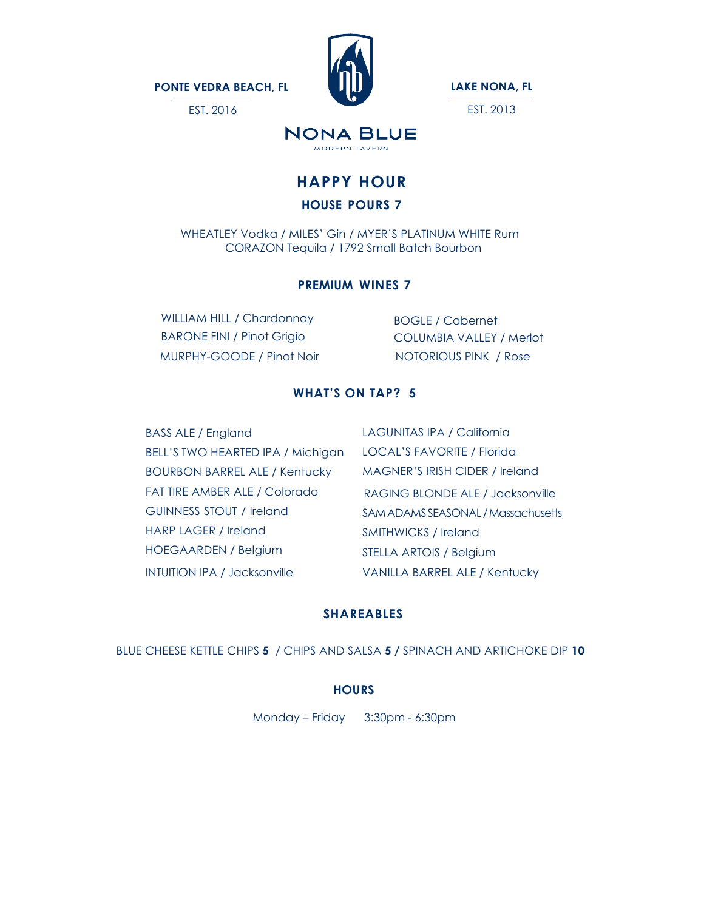EST. 2016



**LAKE NONA, FL**

EST. 2013

### **NONA BLUE** MODERN TAVERN

# **HAPPY HOUR**

### **HOUSE POURS 7**

 WHEATLEY Vodka / MILES' Gin / MYER'S PLATINUM WHITE Rum CORAZON Tequila / 1792 Small Batch Bourbon

### **PREMIUM WINES 7**

WILLIAM HILL / Chardonnay BARONE FINI / Pinot Grigio MURPHY-GOODE / Pinot Noir NOTORIOUS PINK / Rose

BOGLE / Cabernet COLUMBIA VALLEY / Merlot

### **WHAT'S ON TAP? 5**

BASS ALE / England BELL'S TWO HEARTED IPA / Michigan BOURBON BARREL ALE / Kentucky FAT TIRE AMBER ALE / Colorado GUINNESS STOUT / Ireland HARP LAGER / Ireland HOEGAARDEN / Belgium INTUITION IPA / Jacksonville

LAGUNITAS IPA / California LOCAL'S FAVORITE / Florida MAGNER'S IRISH CIDER / Ireland RAGING BLONDE ALE / Jacksonville SAMADAMSSEASONAL/Massachusetts SMITHWICKS / Ireland STELLA ARTOIS / Belgium VANILLA BARREL ALE / Kentucky

### **SHAREABLES**

BLUE CHEESE KETTLE CHIPS **5** / CHIPS AND SALSA **5 /** SPINACH AND ARTICHOKE DIP **10**

### **HOURS**

Monday – Friday 3:30pm - 6:30pm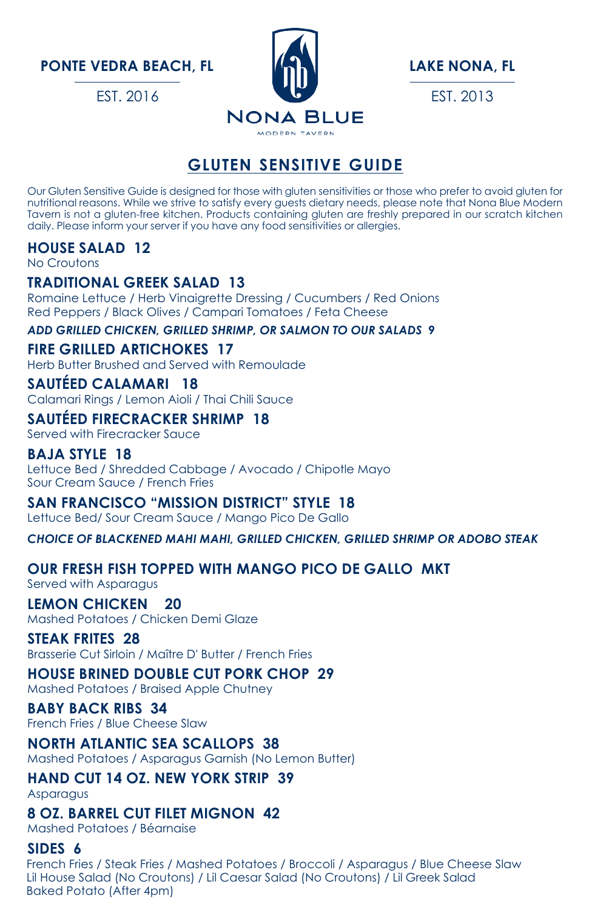EST. 2016



**LAKE NONA, FL** EST. 2013

### **GLUTEN SENSITIVE GUIDE**

Our Gluten Sensitive Guide is designed for those with gluten sensitivities or those who prefer to avoid gluten for nutritional reasons. While we strive to satisfy every guests dietary needs, please note that Nona Blue Modern Tavern is not a gluten-free kitchen. Products containing gluten are freshly prepared in our scratch kitchen daily. Please inform your server if you have any food sensitivities or allergies.

#### **HOUSE SALAD 12**

No Croutons

#### **TRADITIONAL GREEK SALAD 13**

Romaine Lettuce / Herb Vinaigrette Dressing / Cucumbers / Red Onions Red Peppers / Black Olives / Campari Tomatoes / Feta Cheese

*ADD GRILLED CHICKEN, GRILLED SHRIMP, OR SALMON TO OUR SALADS 9*

#### **FIRE GRILLED ARTICHOKES 17**

Herb Butter Brushed and Served with Remoulade

#### **SAUTÉED CALAMARI 18**

Calamari Rings / Lemon Aioli / Thai Chili Sauce

#### **SAUTÉED FIRECRACKER SHRIMP 18**

Served with Firecracker Sauce

#### **BAJA STYLE 18**

Lettuce Bed / Shredded Cabbage / Avocado / Chipotle Mayo Sour Cream Sauce / French Fries

**SAN FRANCISCO "MISSION DISTRICT" STYLE 18**

Lettuce Bed/ Sour Cream Sauce / Mango Pico De Gallo

*CHOICE OF BLACKENED MAHI MAHI, GRILLED CHICKEN, GRILLED SHRIMP OR ADOBO STEAK*

### **OUR FRESH FISH TOPPED WITH MANGO PICO DE GALLO MKT**

Served with Asparagus

### **LEMON CHICKEN 20**

Mashed Potatoes / Chicken Demi Glaze

#### **STEAK FRITES 28**

Brasserie Cut Sirloin / Maître D' Butter / French Fries

#### **HOUSE BRINED DOUBLE CUT PORK CHOP 29**

Mashed Potatoes / Braised Apple Chutney

#### **BABY BACK RIBS 34**

French Fries / Blue Cheese Slaw

**NORTH ATLANTIC SEA SCALLOPS 38** Mashed Potatoes / Asparagus Garnish (No Lemon Butter)

#### **HAND CUT 14 OZ. NEW YORK STRIP 39** Asparagus

#### **8 OZ. BARREL CUT FILET MIGNON 42**

Mashed Potatoes / Béarnaise

#### **SIDES 6**

 French Fries / Steak Fries / Mashed Potatoes / Broccoli / Asparagus / Blue Cheese Slaw Lil House Salad (No Croutons) / Lil Caesar Salad (No Croutons) / Lil Greek Salad Baked Potato (After 4pm)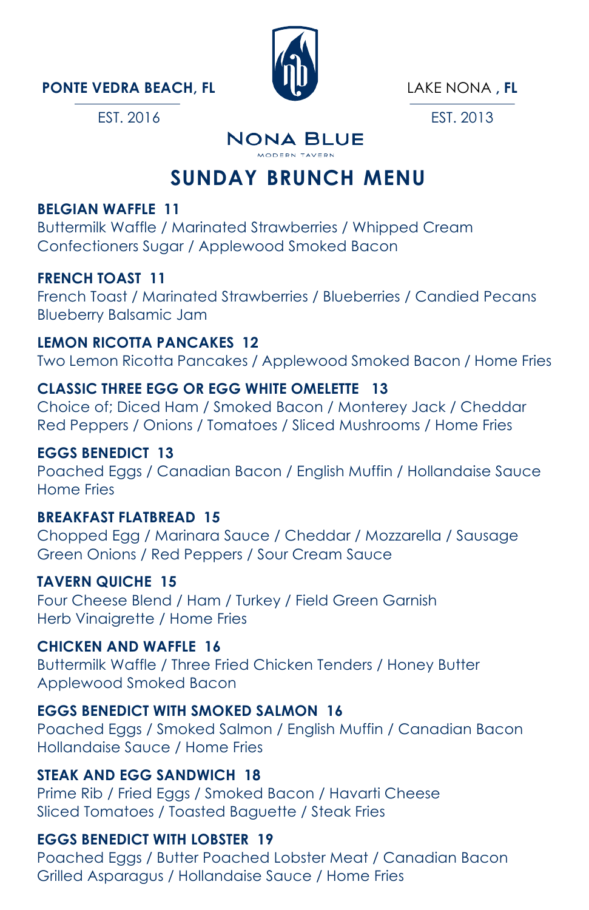EST. 2016



LAKE NONA **, FL**

EST. 2013

#### **NONA BLUE** MODERN TAVERN

### **SUNDAY BRUNCH MENU**

### **BELGIAN WAFFLE 11**

Buttermilk Waffle / Marinated Strawberries / Whipped Cream Confectioners Sugar / Applewood Smoked Bacon

### **FRENCH TOAST 11**

French Toast / Marinated Strawberries / Blueberries / Candied Pecans Blueberry Balsamic Jam

#### **LEMON RICOTTA PANCAKES 12**

Two Lemon Ricotta Pancakes / Applewood Smoked Bacon / Home Fries

### **CLASSIC THREE EGG OR EGG WHITE OMELETTE 13**

Choice of; Diced Ham / Smoked Bacon / Monterey Jack / Cheddar Red Peppers / Onions / Tomatoes / Sliced Mushrooms / Home Fries

#### **EGGS BENEDICT 13**

Poached Eggs / Canadian Bacon / English Muffin / Hollandaise Sauce Home Fries

#### **BREAKFAST FLATBREAD 15**

Chopped Egg / Marinara Sauce / Cheddar / Mozzarella / Sausage Green Onions / Red Peppers / Sour Cream Sauce

#### **TAVERN QUICHE 15**

Four Cheese Blend / Ham / Turkey / Field Green Garnish Herb Vinaigrette / Home Fries

#### **CHICKEN AND WAFFLE 16**

Buttermilk Waffle / Three Fried Chicken Tenders / Honey Butter Applewood Smoked Bacon

#### **EGGS BENEDICT WITH SMOKED SALMON 16**

Poached Eggs / Smoked Salmon / English Muffin / Canadian Bacon Hollandaise Sauce / Home Fries

#### **STEAK AND EGG SANDWICH 18**

Prime Rib / Fried Eggs / Smoked Bacon / Havarti Cheese Sliced Tomatoes / Toasted Baguette / Steak Fries

### **EGGS BENEDICT WITH LOBSTER 19**

Poached Eggs / Butter Poached Lobster Meat / Canadian Bacon Grilled Asparagus / Hollandaise Sauce / Home Fries